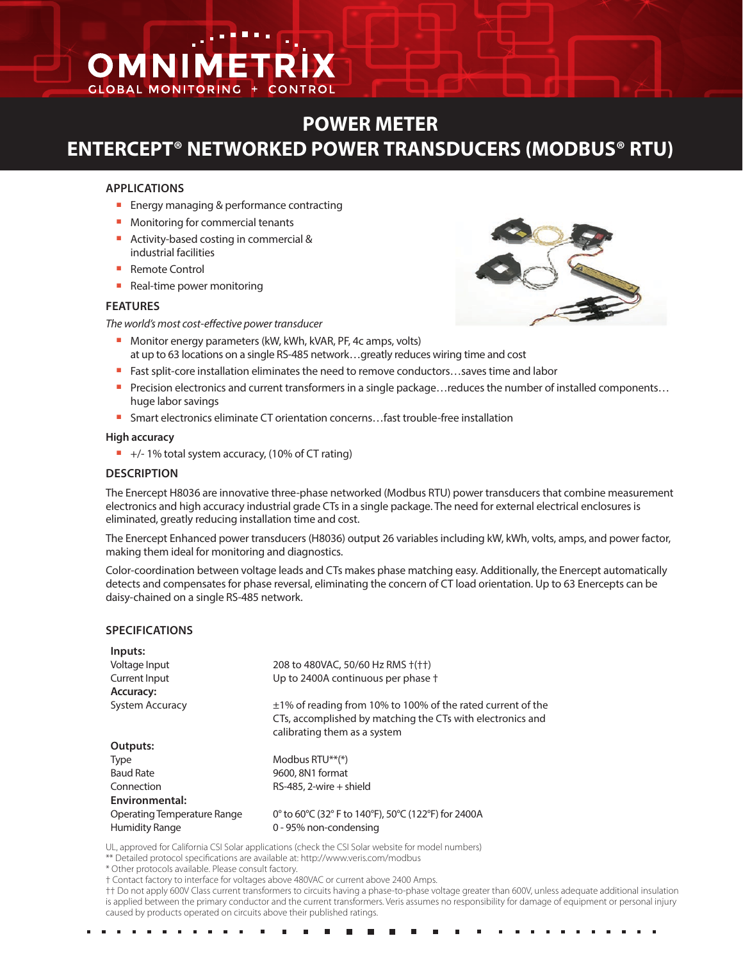# OMNIMETR **GLOBAL MONITORING**

# **POWER METER ENTERCEPT® NETWORKED POWER TRANSDUCERS (MODBUS® RTU)**

### **APPLICATIONS**

- $\blacksquare$  Energy managing & performance contracting
- Monitoring for commercial tenants
- Activity-based costing in commercial & industrial facilities
- Remote Control
- Real-time power monitoring

#### **FEATURES**

*The world's most cost-effective power transducer*

- **n** Monitor energy parameters (kW, kWh, kVAR, PF, 4c amps, volts)
- at up to 63 locations on a single RS-485 network…greatly reduces wiring time and cost
- Fast split-core installation eliminates the need to remove conductors...saves time and labor
- Precision electronics and current transformers in a single package... reduces the number of installed components... huge labor savings
- Smart electronics eliminate CT orientation concerns...fast trouble-free installation

#### **High accuracy**

 $+/- 1\%$  total system accuracy, (10% of CT rating)

## **DESCRIPTION**

The Enercept H8036 are innovative three-phase networked (Modbus RTU) power transducers that combine measurement electronics and high accuracy industrial grade CTs in a single package. The need for external electrical enclosures is eliminated, greatly reducing installation time and cost.

The Enercept Enhanced power transducers (H8036) output 26 variables including kW, kWh, volts, amps, and power factor, making them ideal for monitoring and diagnostics.

Color-coordination between voltage leads and CTs makes phase matching easy. Additionally, the Enercept automatically detects and compensates for phase reversal, eliminating the concern of CT load orientation. Up to 63 Enercepts can be daisy-chained on a single RS-485 network.

#### **SPECIFICATIONS**

| Inputs:                     |                                                                                                                                                                |  |
|-----------------------------|----------------------------------------------------------------------------------------------------------------------------------------------------------------|--|
| Voltage Input               | 208 to 480VAC, 50/60 Hz RMS +(++)                                                                                                                              |  |
| Current Input               | Up to 2400A continuous per phase †                                                                                                                             |  |
| Accuracy:                   |                                                                                                                                                                |  |
| <b>System Accuracy</b>      | $\pm$ 1% of reading from 10% to 100% of the rated current of the<br>CTs, accomplished by matching the CTs with electronics and<br>calibrating them as a system |  |
| Outputs:                    |                                                                                                                                                                |  |
| <b>Type</b>                 | Modbus $RTU^{**}$ <sup>*</sup>                                                                                                                                 |  |
| <b>Baud Rate</b>            | 9600, 8N1 format                                                                                                                                               |  |
| Connection                  | $RS-485$ , 2-wire + shield                                                                                                                                     |  |
| Environmental:              |                                                                                                                                                                |  |
| Operating Temperature Range | 0° to 60°C (32° F to 140°F), 50°C (122°F) for 2400A                                                                                                            |  |
| <b>Humidity Range</b>       | 0 - 95% non-condensing                                                                                                                                         |  |

UL, approved for California CSI Solar applications (check the CSI Solar website for model numbers)

\*\* Detailed protocol specifications are available at: http://www.veris.com/modbus

\* Other protocols available. Please consult factory.

†† Do not apply 600V Class current transformers to circuits having a phase-to-phase voltage greater than 600V, unless adequate additional insulation is applied between the primary conductor and the current transformers. Veris assumes no responsibility for damage of equipment or personal injury caused by products operated on circuits above their published ratings.



<sup>†</sup> Contact factory to interface for voltages above 480VAC or current above 2400 Amps.